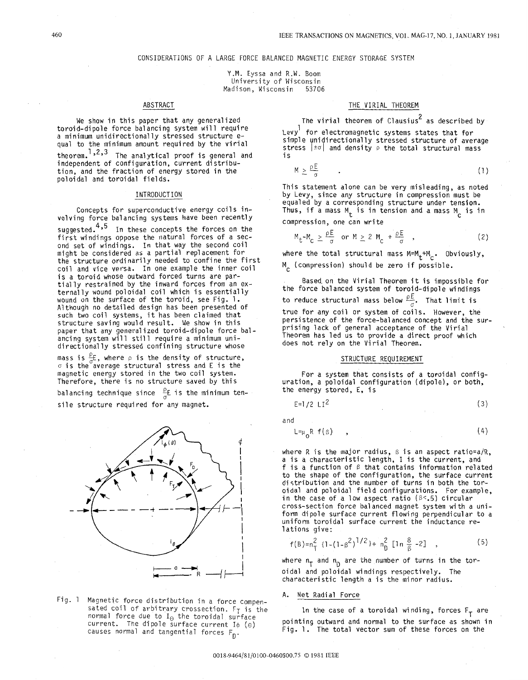### CONSIDERATIONS OF A LARGE FORCE BALANCED MAGNETIC ENERGY STORAGE SYSTEM

Y.M. Eyssa and R.W. Boom University of Wisconsin Madison, Wisconsin 53706

### ABSTRACT

We show in this paper that any generalized toroid-dipole force balancing system will require qual to the minimum amount required by the virial theorem.''''' The analytical proof is general and independent of configuration, current distribution, and the fraction of energy stored in the poloidal and toroidal fields.

#### INTRODUCTION

Concepts for superconductive energy coils involving force balancing systems have been recently suggested.<sup>4,5</sup> In these concepts the forces on the first windings oppose the natural forces of a secfirst windings oppose the natural forces of a sec-<br>ond set of windings. In that way the second coil might be considered as a partial replacement fo the structure ordinarily needed to confine the first coil and vice versa. In one example the inner coil is a toroid whose outward forced turns are partially restrained by the inward forces from an ex-<br>ternally wound poloidal coil which is essentially wound on the surface of the toroid, see Fig. 1. Although no detailed design has been presented of such two coil systems, it has been claimed that structure saving would result. We show in this paper that any generalized toroid-dipole force balancing system will still require a minimum unidirectionally stressed confining structure whose

mass is  $\frac{\rho}{\sigma}$ . where  $\rho$  is the density of structure,  $\sigma$  is the average structural stress and E is the magnetic energy stored in the two coil system. Therefore, there is no structure saved by this

balancing technique since  $\frac{\rho}{\sigma}$  is the minimum tensile structure required for any magnet.



Fig. 1 Magnetic force distribution in a force compensated coil of arbitrary crossection.  $F_T$  is the normal force due to  $I_{\Theta}$  the toroidal surface current. The dipole surface current I $\phi$  (e) causes normal and tangential forces F<sub>n</sub>.

### THE VIRIAL THEOREM

The virial theorem of Clausius<sup>2</sup> as described by

Levy  $\begin{smallmatrix}1&&\1cr1&\end{smallmatrix}$  for electromagnetic systems states th simple unidirectionally stressed structure of average stress |±ơ| and density  $\rho$  the total structural mass<br>is

$$
M \geq \frac{\rho E}{\sigma} \tag{1}
$$

This statement alone can be very misleading, as noted by Levy, since any structure in compression must be equaled by a corresponding structure under tensi Thus, if a mass  $M_{\mathbf{t}}$  is in tension and a mass  $M_{\mathbf{c}}$  is in

compression, one can write

$$
M_{t}-M_{c} \geq \frac{\rho E}{\sigma} \quad \text{or} \quad M \geq 2 \quad M_{c} + \frac{\rho E}{\sigma} \quad , \tag{2}
$$

where the total structural mass  $M=M_t+M_c$ . Obviously, M<sub>c</sub> (compression) should be zero if possible.

the force balanced system of toroid-dipole windings to reduce structural mass below  $\frac{\rho E}{\sigma}$ . That limit is true for any coil or system of coils. However, the persistence of the force-balanced concept and the surprising lack of general acceptance of the Virial Theorem has led us to provide a direct proof which does not rely on the Virial Theorem. Eased, on the Virial Theorem it is impossible for

## STRUCTURE REQUIREMENT

For a system that consists of a toroidal configuration, a poloidal configuration (dipole), or both, the energy stored, E, is

$$
E=1/2 LI2
$$
 (3)

and

$$
L = \mu_0 R f(\beta) \qquad , \tag{4}
$$

where R is the major radius,  $\beta$  is an aspect ratio=a/R, a is a characteristic length, I is the current, and f is a function of **B** that contains information related to the shape of the configuration, the surface current di stribution and the number of turns in both the toroidal and poloidal field configurations. For example, in the case of a low aspect ratio  $(8< 5)$  circular cross-section force balanced magnet system with a uniform dipole surface current flowing perpendicular to a uniform toroidal surface current the inductance relations give:

$$
f(B)=n\frac{2}{1}\{1-(1-\beta^2)^{1/2}\}+n\frac{2}{10}\left[1n\frac{8}{\beta}-2\right]
$$
, (5)

where  $n_T$  and  $n_D$  are the number of turns in the toroidal and poloidal windings respectively. The characteristic length a is the minor radius.

#### A. Net Radial Force

In the case of a toroidal winding, forces  $F_T$  are pointing outward and normal to the surface as shown in Fig. 1. The total vector sum of these forces on the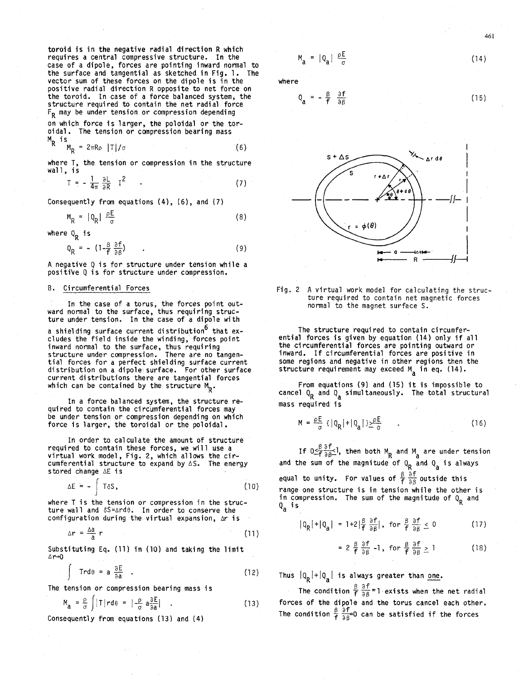toroid is in the negative radial direction **R** which requires a central compressive structure. In the case of a dipole, forces are pointing inward normal to the surface and tangential as sketched in Fig. 1. The vector sum of these forces on the dipole is in the positive radial direction R opposite to net force on the toroid. In case of a force bal anced system, the structure required to contain the net radial force  $F_R$  may be under tension or compression depending

on which force is larger, the poloidal or the toroidal. The tension or compression bearing mass  $M_{\mathbf{p}}$  is

$$
M_R = 2\pi R \rho |T|/\sigma
$$
 (6)

where T, the tension or compression in the structure wall, is

$$
T = -\frac{1}{4\pi} \frac{\partial L}{\partial R} I^2 \qquad (7)
$$

Consequently from equations  $(4)$ ,  $(6)$ , and  $(7)$ 

$$
M_p = |Q_p| \frac{\rho_E}{\sigma} \tag{8}
$$

where Q<sub>p</sub> is

$$
Q_R = - (1 - \frac{\beta}{f} \frac{\partial f}{\partial \beta}) \qquad . \tag{9}
$$

**A** negative Q is for structure under tension while a positive Q is for structure under compression.

## B. Circumferential Forces

In the case of a torus, the forces point ward normal to the surface, thus requiring ture under tension. In the case of a dipole with

a shielding surface current distribution<sup>o</sup> that excludes the field inside the winding, force inward normal to the surface, thus requiring structure under compression. There are no tangential forces for a perfect shielding surface current distribution on a dipole surface. For other surface current distributions there are tangential forces which can be contained by the structure  $M_p$ .

In a force balanced system, the structure required to contain the circ'umferential forces may be under tension or compression depending on which force is larger, the toroidal or the poloidal.

In order to calculate the amount of structure required to contain these forces, we will use a virtual work model , Fig. 2, which allows the circumferential structure to expand by  $\Delta S$ . The energy stored change AE is

$$
\Delta E = - \int T \delta S, \qquad (10)
$$

where T is the tension or compression in the structure wall and  $\delta S = \Delta r d\theta$ . In order to conserve the configuration during the. virtual expansion, Ar **is** 

$$
\Delta r = \frac{\Delta a}{a} r \tag{11}
$$

 $\frac{a}{b}$  a  $\frac{a}{c}$ . (11) in (10) and taking the limit  $Ar + 0$ 

Let 
$$
\log \text{ Eq. (11) in (10) and taking the limit}
$$

\nTrd $\theta = a \frac{\partial E}{\partial a}$ .

\n(12)

The tension or compression bearing mass is

$$
M_{a} = \frac{\rho}{\sigma} \int |T| r d\theta = \left| -\frac{\rho}{\sigma} a \frac{\partial E}{\partial a} \right| \quad . \tag{13}
$$

Consequently from equations (13) and (4)

$$
f_{\rm{max}}
$$

where

 $M_a = |Q_a| \frac{\rho E}{\sigma}$ 

$$
Q_{a} = -\frac{\beta}{f} \frac{\partial f}{\partial \beta} \tag{15}
$$





The structure required to contain circumferential forces is given by equation (14) only if all the circumferential forces are pointing outward or inward. If circumferential forces are positive in some regions and negative in other regions then<br>structure requirement may exceed M<sub>a</sub> in eq. (14).

From equations (9) and (15) it is impossible to<br>cancel  $Q_R$  and  $Q_a$  simultaneously. The total structure mass required is From equations **(9)** and **(15)** it is impossible to

$$
M = \frac{\rho E}{\sigma} \{ |q_R| + |q_a| \} \frac{\rho E}{\sigma} \tag{16}
$$

If  $0 \leq \frac{\beta}{f} \frac{\partial f}{\partial \beta}$ , then both  $M_R$  and  $M_a$  are under tension and the sum of the magnitude of  $Q_R$  and  $Q_a$  is always a

equal to unity. For values of  $\frac{\beta}{f}\frac{\partial f}{\partial \beta}$  outside this range one structure is in tension while the other is in compression. The sum of the magnitude of **Q,** and Qa is <u>β ∂†</u>

$$
|Q_R| + |Q_a| = 1 + 2\left|\frac{\beta}{f}\right| \frac{\partial f}{\partial \beta}\right|, \text{ for } \frac{\beta}{f}\frac{\partial f}{\partial \beta} \le 0
$$
 (17)

$$
= 2 \frac{\beta}{f} \frac{\partial f}{\partial \beta} - 1, \text{ for } \frac{\beta}{f} \frac{\partial f}{\partial \beta} \ge 1
$$
 (18)

Thus  $|Q_p|+|Q_a|$  is always greater than <u>one</u>.

The condition  $\frac{\beta}{f} \frac{\partial f}{\partial \beta} = 1$  exists when the net radial forces of the dipole and the torus cancel each other. The condition  $\frac{\beta}{f} \frac{\partial f}{\partial \beta}=0$  can be satisfied if the forces

(14)